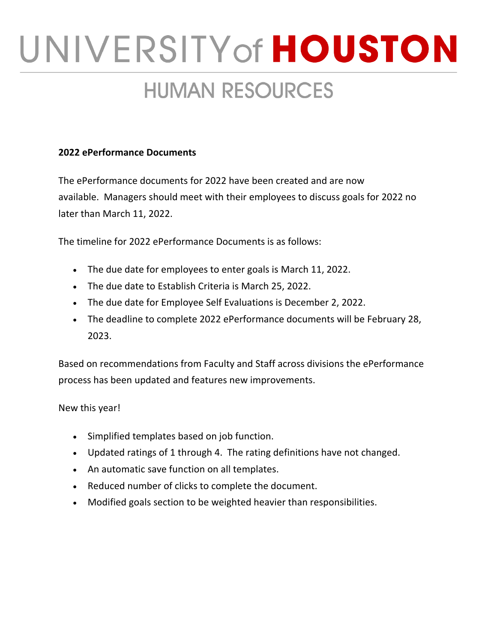# UNIVERSITY of HOUSTON **HUMAN RESOURCES**

### **2022 ePerformance Documents**

The ePerformance documents for 2022 have been created and are now available. Managers should meet with their employees to discuss goals for 2022 no later than March 11, 2022.

The timeline for 2022 ePerformance Documents is as follows:

- The due date for employees to enter goals is March 11, 2022.
- The due date to Establish Criteria is March 25, 2022.
- The due date for Employee Self Evaluations is December 2, 2022.
- The deadline to complete 2022 ePerformance documents will be February 28, 2023.

Based on recommendations from Faculty and Staff across divisions the ePerformance process has been updated and features new improvements.

## New this year!

- Simplified templates based on job function.
- Updated ratings of 1 through 4. The rating definitions have not changed.
- An automatic save function on all templates.
- Reduced number of clicks to complete the document.
- Modified goals section to be weighted heavier than responsibilities.